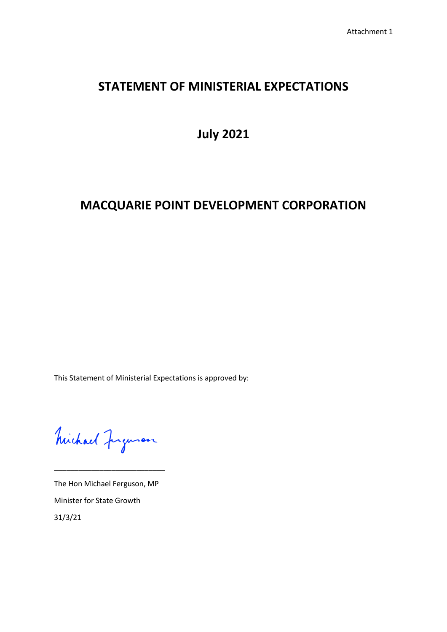## **STATEMENT OF MINISTERIAL EXPECTATIONS**

**July 2021**

# **MACQUARIE POINT DEVELOPMENT CORPORATION**

This Statement of Ministerial Expectations is approved by:

Michael Jugenon

\_\_\_\_\_\_\_\_\_\_\_\_\_\_\_\_\_\_\_\_\_\_\_\_\_\_\_

The Hon Michael Ferguson, MP Minister for State Growth 31/3/21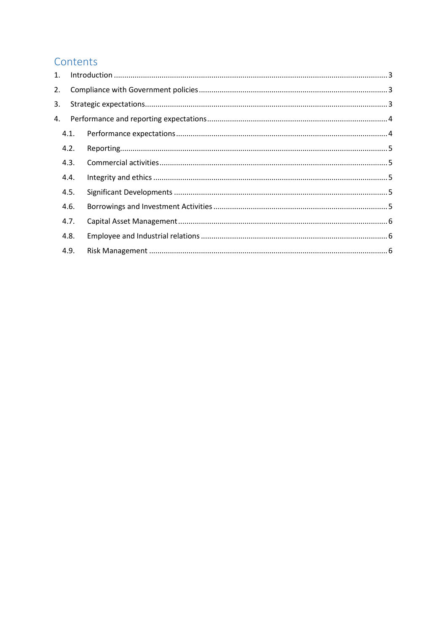## Contents

| 1.   |  |
|------|--|
| 2.   |  |
| 3.   |  |
| 4.   |  |
| 4.1. |  |
| 4.2. |  |
| 4.3. |  |
| 4.4. |  |
| 4.5. |  |
| 4.6. |  |
| 4.7. |  |
| 4.8. |  |
| 4.9. |  |
|      |  |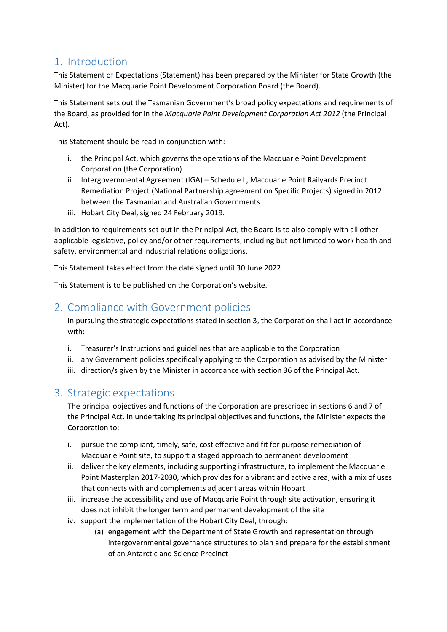### <span id="page-2-0"></span>1. Introduction

This Statement of Expectations (Statement) has been prepared by the Minister for State Growth (the Minister) for the Macquarie Point Development Corporation Board (the Board).

This Statement sets out the Tasmanian Government's broad policy expectations and requirements of the Board, as provided for in the *Macquarie Point Development Corporation Act 2012* (the Principal Act).

This Statement should be read in conjunction with:

- i. the Principal Act, which governs the operations of the Macquarie Point Development Corporation (the Corporation)
- ii. Intergovernmental Agreement (IGA) Schedule L, Macquarie Point Railyards Precinct Remediation Project (National Partnership agreement on Specific Projects) signed in 2012 between the Tasmanian and Australian Governments
- iii. Hobart City Deal, signed 24 February 2019.

In addition to requirements set out in the Principal Act, the Board is to also comply with all other applicable legislative, policy and/or other requirements, including but not limited to work health and safety, environmental and industrial relations obligations.

This Statement takes effect from the date signed until 30 June 2022.

This Statement is to be published on the Corporation's website.

### <span id="page-2-1"></span>2. Compliance with Government policies

In pursuing the strategic expectations stated in section 3, the Corporation shall act in accordance with:

- i. Treasurer's Instructions and guidelines that are applicable to the Corporation
- ii. any Government policies specifically applying to the Corporation as advised by the Minister
- iii. direction/s given by the Minister in accordance with section 36 of the Principal Act.

### <span id="page-2-2"></span>3. Strategic expectations

The principal objectives and functions of the Corporation are prescribed in sections 6 and 7 of the Principal Act. In undertaking its principal objectives and functions, the Minister expects the Corporation to:

- i. pursue the compliant, timely, safe, cost effective and fit for purpose remediation of Macquarie Point site, to support a staged approach to permanent development
- ii. deliver the key elements, including supporting infrastructure, to implement the Macquarie Point Masterplan 2017-2030, which provides for a vibrant and active area, with a mix of uses that connects with and complements adjacent areas within Hobart
- iii. increase the accessibility and use of Macquarie Point through site activation, ensuring it does not inhibit the longer term and permanent development of the site
- iv. support the implementation of the Hobart City Deal, through:
	- (a) engagement with the Department of State Growth and representation through intergovernmental governance structures to plan and prepare for the establishment of an Antarctic and Science Precinct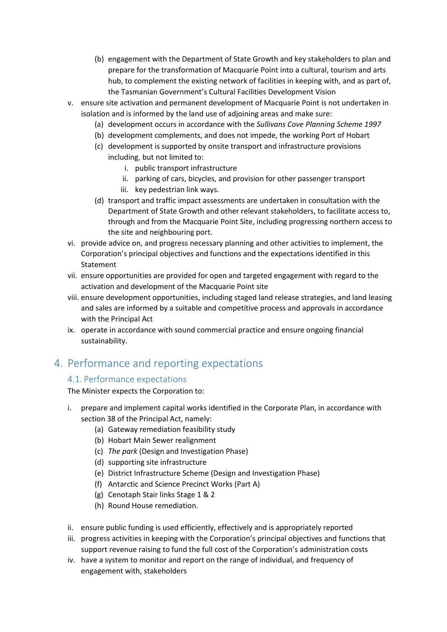- (b) engagement with the Department of State Growth and key stakeholders to plan and prepare for the transformation of Macquarie Point into a cultural, tourism and arts hub, to complement the existing network of facilities in keeping with, and as part of, the Tasmanian Government's Cultural Facilities Development Vision
- v. ensure site activation and permanent development of Macquarie Point is not undertaken in isolation and is informed by the land use of adjoining areas and make sure:
	- (a) development occurs in accordance with the *Sullivans Cove Planning Scheme 1997*
	- (b) development complements, and does not impede, the working Port of Hobart
	- (c) development is supported by onsite transport and infrastructure provisions including, but not limited to:
		- i. public transport infrastructure
		- ii. parking of cars, bicycles, and provision for other passenger transport
		- iii. key pedestrian link ways.
	- (d) transport and traffic impact assessments are undertaken in consultation with the Department of State Growth and other relevant stakeholders, to facilitate access to, through and from the Macquarie Point Site, including progressing northern access to the site and neighbouring port.
- vi. provide advice on, and progress necessary planning and other activities to implement, the Corporation's principal objectives and functions and the expectations identified in this Statement
- vii. ensure opportunities are provided for open and targeted engagement with regard to the activation and development of the Macquarie Point site
- viii. ensure development opportunities, including staged land release strategies, and land leasing and sales are informed by a suitable and competitive process and approvals in accordance with the Principal Act
- ix. operate in accordance with sound commercial practice and ensure ongoing financial sustainability.

## <span id="page-3-1"></span><span id="page-3-0"></span>4. Performance and reporting expectations

#### 4.1. Performance expectations

The Minister expects the Corporation to:

- i. prepare and implement capital works identified in the Corporate Plan, in accordance with section 38 of the Principal Act, namely:
	- (a) Gateway remediation feasibility study
	- (b) Hobart Main Sewer realignment
	- (c) *The park* (Design and Investigation Phase)
	- (d) supporting site infrastructure
	- (e) District Infrastructure Scheme (Design and Investigation Phase)
	- (f) Antarctic and Science Precinct Works (Part A)
	- (g) Cenotaph Stair links Stage 1 & 2
	- (h) Round House remediation.
- ii. ensure public funding is used efficiently, effectively and is appropriately reported
- iii. progress activities in keeping with the Corporation's principal objectives and functions that support revenue raising to fund the full cost of the Corporation's administration costs
- iv. have a system to monitor and report on the range of individual, and frequency of engagement with, stakeholders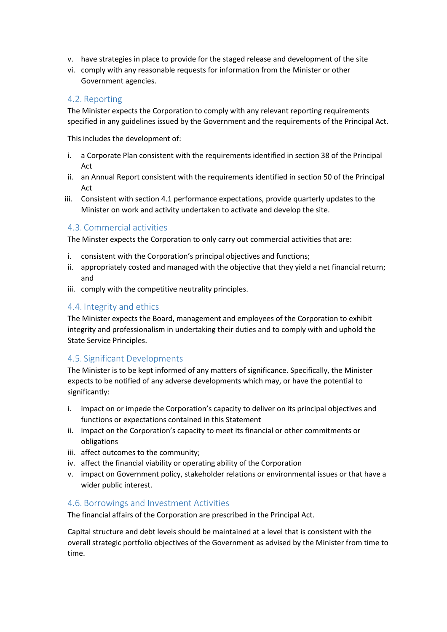- v. have strategies in place to provide for the staged release and development of the site
- vi. comply with any reasonable requests for information from the Minister or other Government agencies.

#### <span id="page-4-0"></span>4.2. Reporting

The Minister expects the Corporation to comply with any relevant reporting requirements specified in any guidelines issued by the Government and the requirements of the Principal Act.

This includes the development of:

- i. a Corporate Plan consistent with the requirements identified in section 38 of the Principal Act
- ii. an Annual Report consistent with the requirements identified in section 50 of the Principal Act
- iii. Consistent with section 4.1 performance expectations, provide quarterly updates to the Minister on work and activity undertaken to activate and develop the site.

#### <span id="page-4-1"></span>4.3. Commercial activities

The Minster expects the Corporation to only carry out commercial activities that are:

- i. consistent with the Corporation's principal objectives and functions;
- ii. appropriately costed and managed with the objective that they yield a net financial return; and
- iii. comply with the competitive neutrality principles.

#### <span id="page-4-2"></span>4.4. Integrity and ethics

The Minister expects the Board, management and employees of the Corporation to exhibit integrity and professionalism in undertaking their duties and to comply with and uphold the State Service Principles.

#### <span id="page-4-3"></span>4.5. Significant Developments

The Minister is to be kept informed of any matters of significance. Specifically, the Minister expects to be notified of any adverse developments which may, or have the potential to significantly:

- i. impact on or impede the Corporation's capacity to deliver on its principal objectives and functions or expectations contained in this Statement
- ii. impact on the Corporation's capacity to meet its financial or other commitments or obligations
- iii. affect outcomes to the community;
- iv. affect the financial viability or operating ability of the Corporation
- v. impact on Government policy, stakeholder relations or environmental issues or that have a wider public interest.

#### <span id="page-4-4"></span>4.6. Borrowings and Investment Activities

The financial affairs of the Corporation are prescribed in the Principal Act.

Capital structure and debt levels should be maintained at a level that is consistent with the overall strategic portfolio objectives of the Government as advised by the Minister from time to time.